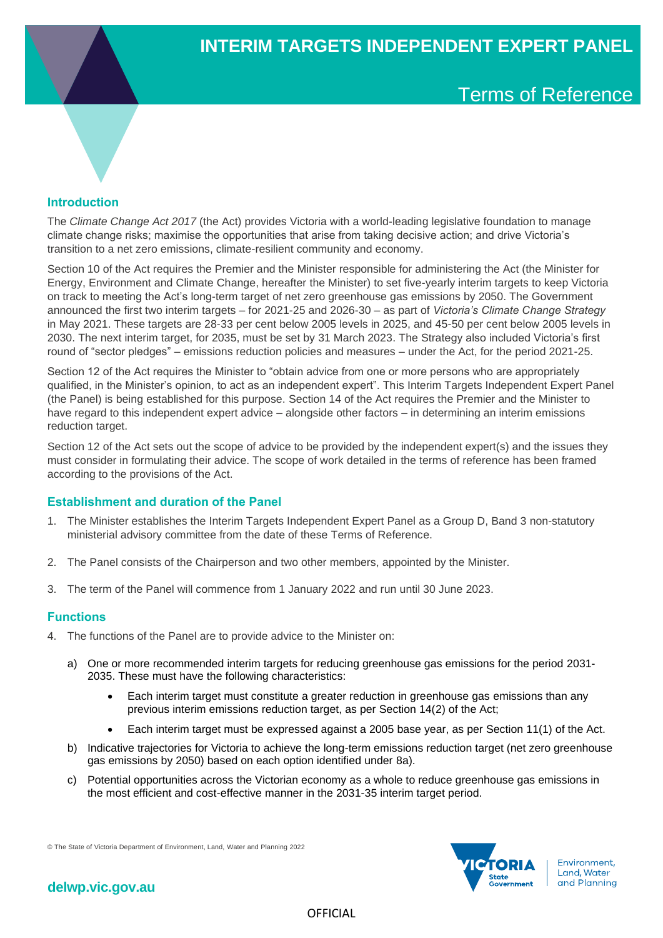# Terms of Reference

## **Introduction**

The *Climate Change Act 2017* (the Act) provides Victoria with a world-leading legislative foundation to manage climate change risks; maximise the opportunities that arise from taking decisive action; and drive Victoria's transition to a net zero emissions, climate-resilient community and economy.

Section 10 of the Act requires the Premier and the Minister responsible for administering the Act (the Minister for Energy, Environment and Climate Change, hereafter the Minister) to set five-yearly interim targets to keep Victoria on track to meeting the Act's long-term target of net zero greenhouse gas emissions by 2050. The Government announced the first two interim targets – for 2021-25 and 2026-30 – as part of *Victoria's Climate Change Strategy*  in May 2021. These targets are 28-33 per cent below 2005 levels in 2025, and 45-50 per cent below 2005 levels in 2030. The next interim target, for 2035, must be set by 31 March 2023. The Strategy also included Victoria's first round of "sector pledges" – emissions reduction policies and measures – under the Act, for the period 2021-25.

Section 12 of the Act requires the Minister to "obtain advice from one or more persons who are appropriately qualified, in the Minister's opinion, to act as an independent expert". This Interim Targets Independent Expert Panel (the Panel) is being established for this purpose. Section 14 of the Act requires the Premier and the Minister to have regard to this independent expert advice – alongside other factors – in determining an interim emissions reduction target.

Section 12 of the Act sets out the scope of advice to be provided by the independent expert(s) and the issues they must consider in formulating their advice. The scope of work detailed in the terms of reference has been framed according to the provisions of the Act.

## **Establishment and duration of the Panel**

- 1. The Minister establishes the Interim Targets Independent Expert Panel as a Group D, Band 3 non-statutory ministerial advisory committee from the date of these Terms of Reference.
- 2. The Panel consists of the Chairperson and two other members, appointed by the Minister.
- 3. The term of the Panel will commence from 1 January 2022 and run until 30 June 2023.

## **Functions**

- 4. The functions of the Panel are to provide advice to the Minister on:
	- a) One or more recommended interim targets for reducing greenhouse gas emissions for the period 2031- 2035. These must have the following characteristics:
		- Each interim target must constitute a greater reduction in greenhouse gas emissions than any previous interim emissions reduction target, as per Section 14(2) of the Act;
		- Each interim target must be expressed against a 2005 base year, as per Section 11(1) of the Act.
	- b) Indicative trajectories for Victoria to achieve the long-term emissions reduction target (net zero greenhouse gas emissions by 2050) based on each option identified under 8a).
	- c) Potential opportunities across the Victorian economy as a whole to reduce greenhouse gas emissions in the most efficient and cost-effective manner in the 2031-35 interim target period.

© The State of Victoria Department of Environment, Land, Water and Planning 2022